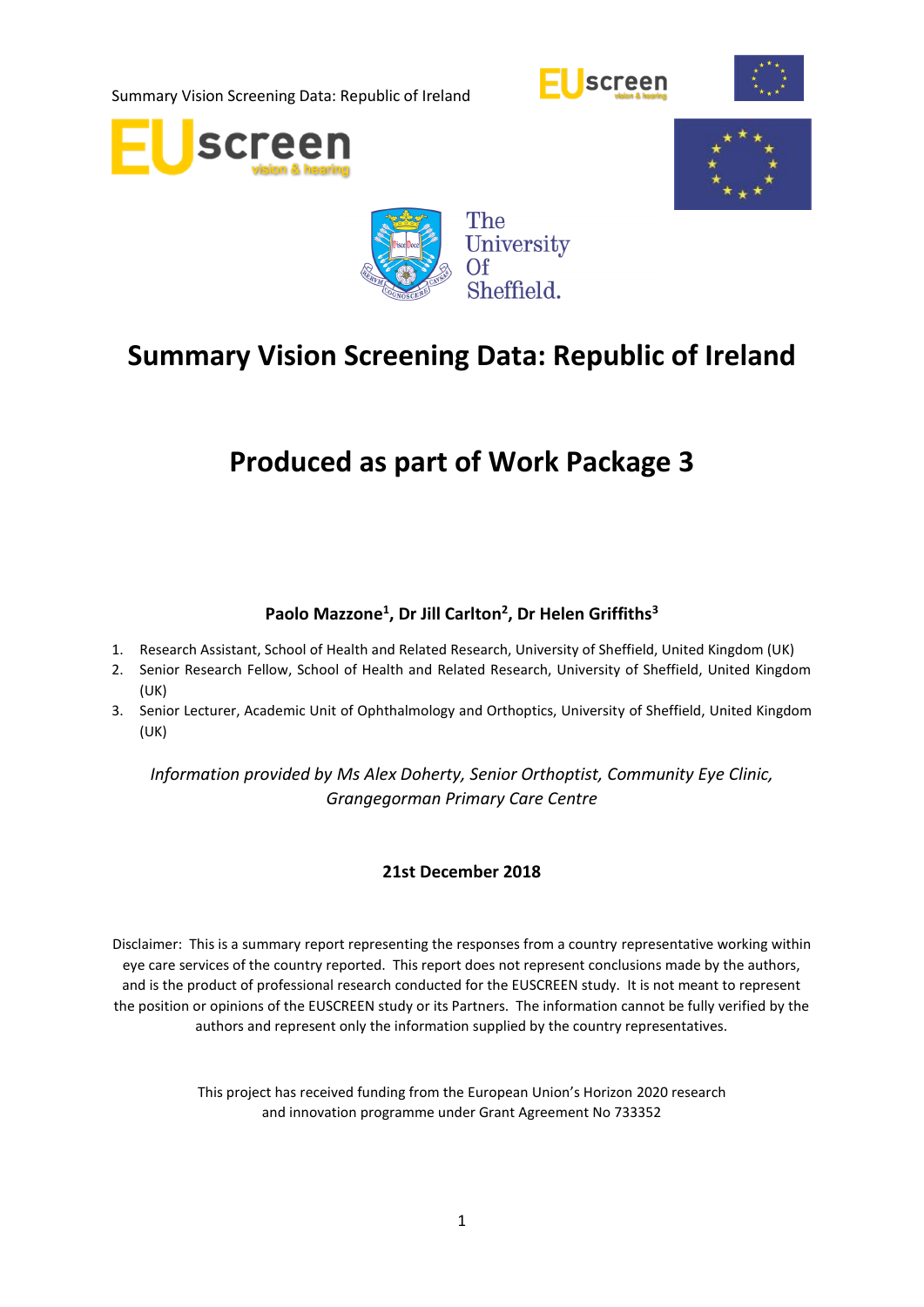









# **Summary Vision Screening Data: Republic of Ireland**

# **Produced as part of Work Package 3**

# **Paolo Mazzone<sup>1</sup> , Dr Jill Carlton<sup>2</sup> , Dr Helen Griffiths<sup>3</sup>**

- 1. Research Assistant, School of Health and Related Research, University of Sheffield, United Kingdom (UK)
- 2. Senior Research Fellow, School of Health and Related Research, University of Sheffield, United Kingdom (UK)
- 3. Senior Lecturer, Academic Unit of Ophthalmology and Orthoptics, University of Sheffield, United Kingdom (UK)

*Information provided by Ms Alex Doherty, Senior Orthoptist, Community Eye Clinic, Grangegorman Primary Care Centre*

#### **21st December 2018**

Disclaimer: This is a summary report representing the responses from a country representative working within eye care services of the country reported. This report does not represent conclusions made by the authors, and is the product of professional research conducted for the EUSCREEN study. It is not meant to represent the position or opinions of the EUSCREEN study or its Partners. The information cannot be fully verified by the authors and represent only the information supplied by the country representatives.

> This project has received funding from the European Union's Horizon 2020 research and innovation programme under Grant Agreement No 733352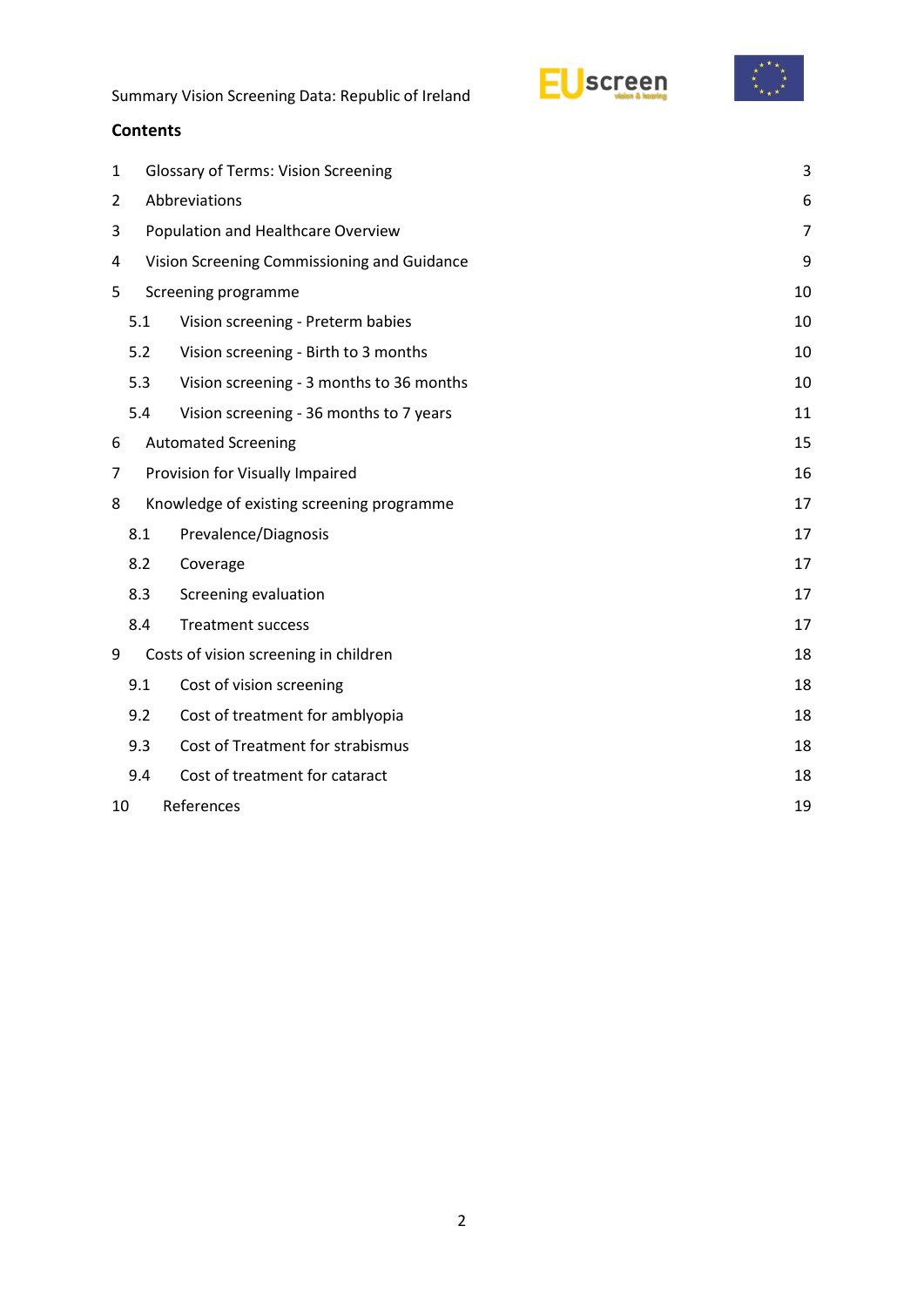



#### **Contents**

| 1  |                                             | <b>Glossary of Terms: Vision Screening</b> | 3  |  |  |
|----|---------------------------------------------|--------------------------------------------|----|--|--|
| 2  | Abbreviations                               |                                            |    |  |  |
| 3  | Population and Healthcare Overview          |                                            |    |  |  |
| 4  | Vision Screening Commissioning and Guidance |                                            |    |  |  |
| 5  |                                             | Screening programme                        |    |  |  |
|    | 5.1                                         | Vision screening - Preterm babies          | 10 |  |  |
|    | 5.2                                         | Vision screening - Birth to 3 months       | 10 |  |  |
|    | 5.3                                         | Vision screening - 3 months to 36 months   | 10 |  |  |
|    | 5.4                                         | Vision screening - 36 months to 7 years    | 11 |  |  |
| 6  |                                             | <b>Automated Screening</b>                 | 15 |  |  |
| 7  |                                             | Provision for Visually Impaired            | 16 |  |  |
| 8  |                                             | Knowledge of existing screening programme  | 17 |  |  |
|    | 8.1                                         | Prevalence/Diagnosis                       | 17 |  |  |
|    | 8.2                                         | Coverage                                   | 17 |  |  |
|    | 8.3                                         | Screening evaluation                       | 17 |  |  |
|    | 8.4                                         | <b>Treatment success</b>                   | 17 |  |  |
| 9  |                                             | Costs of vision screening in children      | 18 |  |  |
|    | 9.1                                         | Cost of vision screening                   | 18 |  |  |
|    | 9.2                                         | Cost of treatment for amblyopia            | 18 |  |  |
|    | 9.3                                         | Cost of Treatment for strabismus           | 18 |  |  |
|    | 9.4                                         | Cost of treatment for cataract             | 18 |  |  |
| 10 | References<br>19                            |                                            |    |  |  |
|    |                                             |                                            |    |  |  |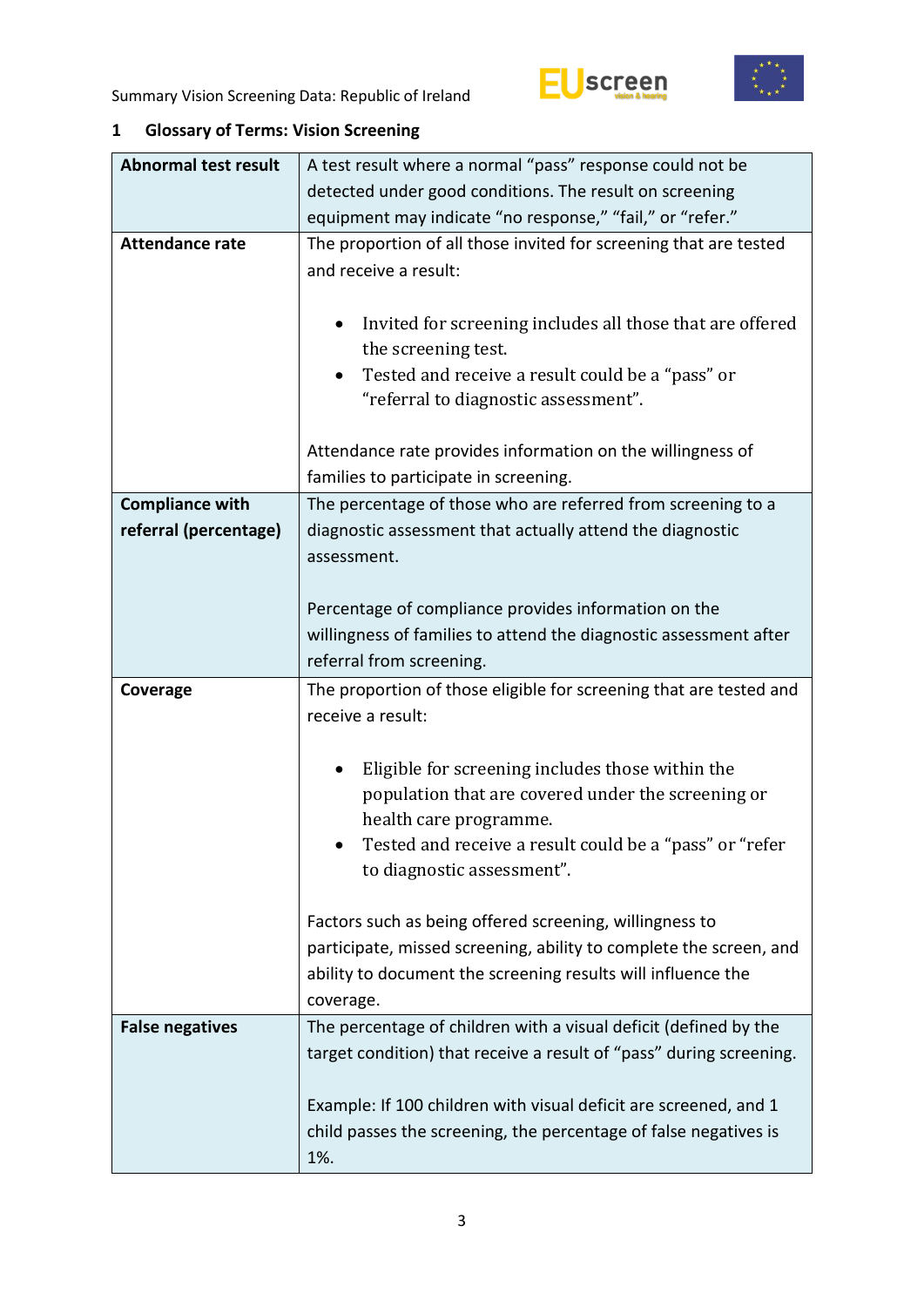



# <span id="page-2-0"></span>**1 Glossary of Terms: Vision Screening**

| <b>Abnormal test result</b> | A test result where a normal "pass" response could not be                                                                                                                                                  |  |  |  |  |
|-----------------------------|------------------------------------------------------------------------------------------------------------------------------------------------------------------------------------------------------------|--|--|--|--|
|                             | detected under good conditions. The result on screening                                                                                                                                                    |  |  |  |  |
|                             | equipment may indicate "no response," "fail," or "refer."                                                                                                                                                  |  |  |  |  |
| <b>Attendance rate</b>      | The proportion of all those invited for screening that are tested<br>and receive a result:                                                                                                                 |  |  |  |  |
|                             | Invited for screening includes all those that are offered<br>$\bullet$<br>the screening test.<br>Tested and receive a result could be a "pass" or<br>"referral to diagnostic assessment".                  |  |  |  |  |
|                             | Attendance rate provides information on the willingness of<br>families to participate in screening.                                                                                                        |  |  |  |  |
| <b>Compliance with</b>      | The percentage of those who are referred from screening to a                                                                                                                                               |  |  |  |  |
| referral (percentage)       | diagnostic assessment that actually attend the diagnostic<br>assessment.                                                                                                                                   |  |  |  |  |
|                             | Percentage of compliance provides information on the                                                                                                                                                       |  |  |  |  |
|                             | willingness of families to attend the diagnostic assessment after                                                                                                                                          |  |  |  |  |
|                             | referral from screening.                                                                                                                                                                                   |  |  |  |  |
| Coverage                    | The proportion of those eligible for screening that are tested and<br>receive a result:                                                                                                                    |  |  |  |  |
|                             | Eligible for screening includes those within the                                                                                                                                                           |  |  |  |  |
|                             | population that are covered under the screening or<br>health care programme.<br>Tested and receive a result could be a "pass" or "refer<br>to diagnostic assessment".                                      |  |  |  |  |
|                             | Factors such as being offered screening, willingness to<br>participate, missed screening, ability to complete the screen, and<br>ability to document the screening results will influence the<br>coverage. |  |  |  |  |
| <b>False negatives</b>      | The percentage of children with a visual deficit (defined by the<br>target condition) that receive a result of "pass" during screening.                                                                    |  |  |  |  |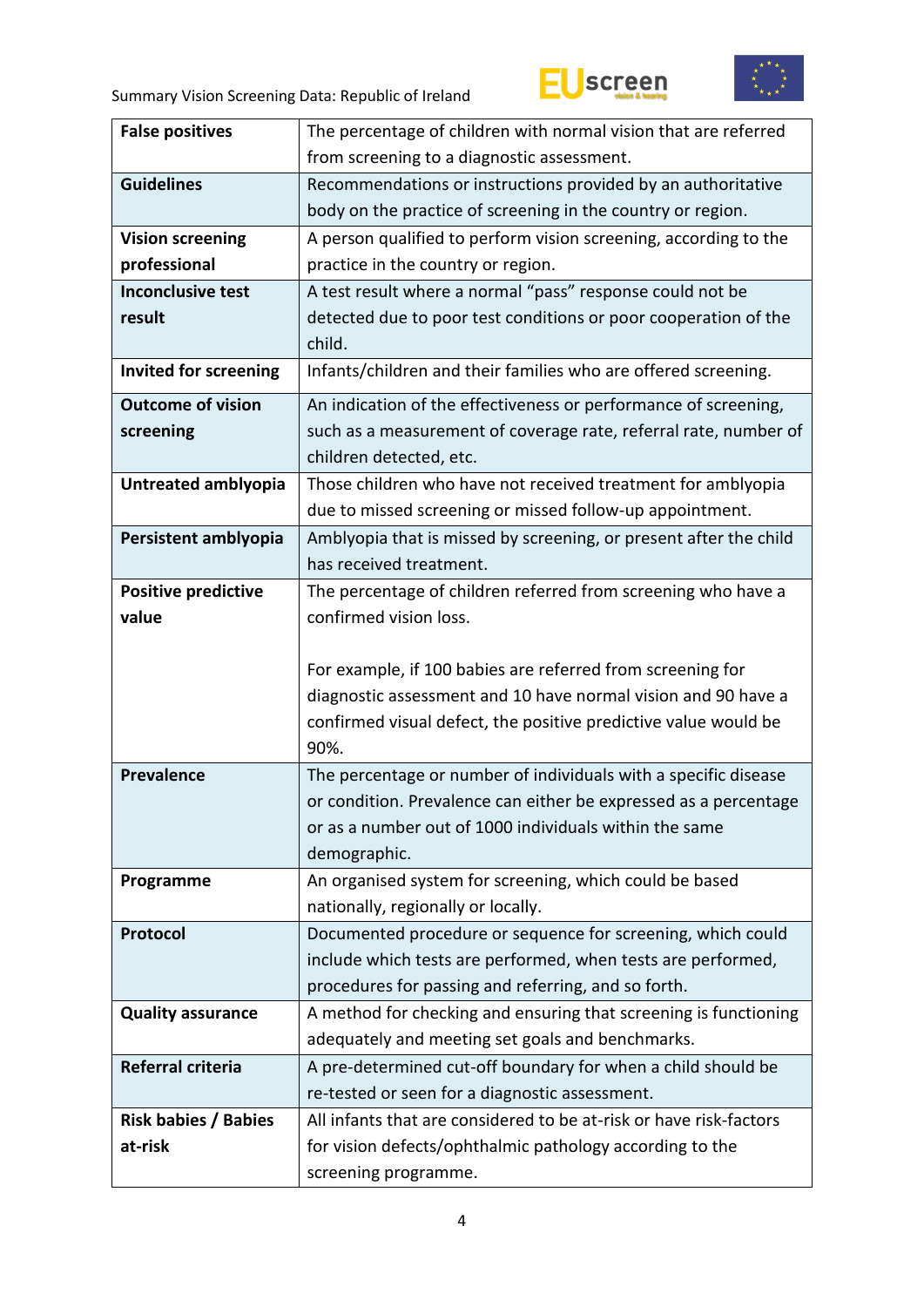



| <b>False positives</b>      | The percentage of children with normal vision that are referred                  |
|-----------------------------|----------------------------------------------------------------------------------|
|                             | from screening to a diagnostic assessment.                                       |
| <b>Guidelines</b>           | Recommendations or instructions provided by an authoritative                     |
|                             | body on the practice of screening in the country or region.                      |
| <b>Vision screening</b>     | A person qualified to perform vision screening, according to the                 |
| professional                | practice in the country or region.                                               |
| <b>Inconclusive test</b>    | A test result where a normal "pass" response could not be                        |
| result                      | detected due to poor test conditions or poor cooperation of the                  |
|                             | child.                                                                           |
| Invited for screening       | Infants/children and their families who are offered screening.                   |
| <b>Outcome of vision</b>    | An indication of the effectiveness or performance of screening,                  |
| screening                   | such as a measurement of coverage rate, referral rate, number of                 |
|                             | children detected, etc.                                                          |
| Untreated amblyopia         | Those children who have not received treatment for amblyopia                     |
|                             | due to missed screening or missed follow-up appointment.                         |
| Persistent amblyopia        | Amblyopia that is missed by screening, or present after the child                |
|                             | has received treatment.                                                          |
| <b>Positive predictive</b>  | The percentage of children referred from screening who have a                    |
| value                       | confirmed vision loss.                                                           |
|                             |                                                                                  |
|                             |                                                                                  |
|                             | For example, if 100 babies are referred from screening for                       |
|                             | diagnostic assessment and 10 have normal vision and 90 have a                    |
|                             | confirmed visual defect, the positive predictive value would be                  |
|                             | 90%.                                                                             |
| <b>Prevalence</b>           | The percentage or number of individuals with a specific disease                  |
|                             | or condition. Prevalence can either be expressed as a percentage                 |
|                             | or as a number out of 1000 individuals within the same                           |
|                             | demographic.                                                                     |
| Programme                   | An organised system for screening, which could be based                          |
|                             | nationally, regionally or locally.                                               |
| Protocol                    | Documented procedure or sequence for screening, which could                      |
|                             | include which tests are performed, when tests are performed,                     |
|                             | procedures for passing and referring, and so forth.                              |
| <b>Quality assurance</b>    | A method for checking and ensuring that screening is functioning                 |
|                             | adequately and meeting set goals and benchmarks.                                 |
| Referral criteria           | A pre-determined cut-off boundary for when a child should be                     |
|                             | re-tested or seen for a diagnostic assessment.                                   |
| <b>Risk babies / Babies</b> | All infants that are considered to be at-risk or have risk-factors               |
| at-risk                     | for vision defects/ophthalmic pathology according to the<br>screening programme. |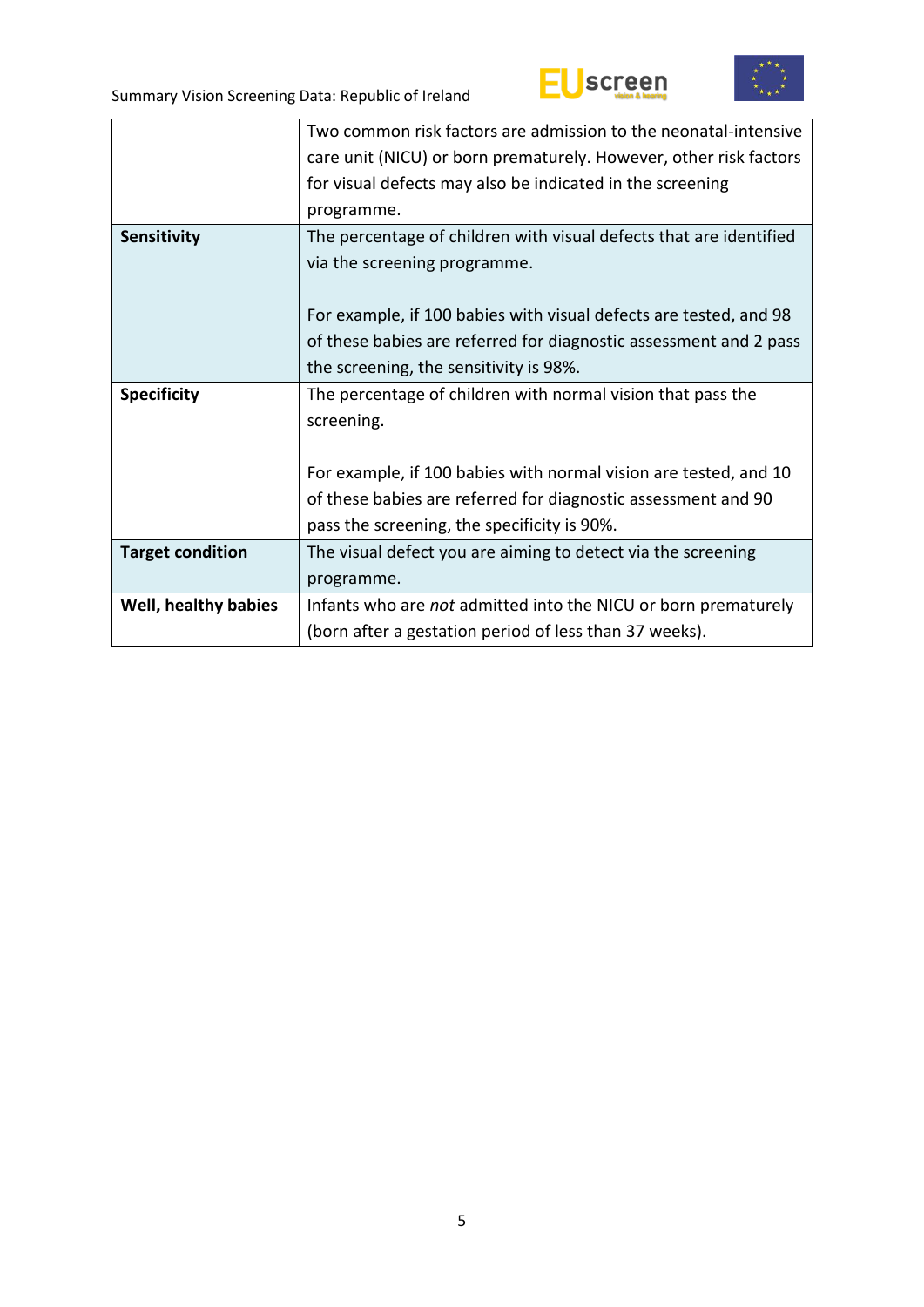



|                         | Two common risk factors are admission to the neonatal-intensive    |
|-------------------------|--------------------------------------------------------------------|
|                         | care unit (NICU) or born prematurely. However, other risk factors  |
|                         | for visual defects may also be indicated in the screening          |
|                         | programme.                                                         |
| Sensitivity             | The percentage of children with visual defects that are identified |
|                         | via the screening programme.                                       |
|                         |                                                                    |
|                         | For example, if 100 babies with visual defects are tested, and 98  |
|                         | of these babies are referred for diagnostic assessment and 2 pass  |
|                         | the screening, the sensitivity is 98%.                             |
| <b>Specificity</b>      | The percentage of children with normal vision that pass the        |
|                         | screening.                                                         |
|                         |                                                                    |
|                         | For example, if 100 babies with normal vision are tested, and 10   |
|                         | of these babies are referred for diagnostic assessment and 90      |
|                         | pass the screening, the specificity is 90%.                        |
|                         |                                                                    |
| <b>Target condition</b> | The visual defect you are aiming to detect via the screening       |
|                         | programme.                                                         |
| Well, healthy babies    | Infants who are not admitted into the NICU or born prematurely     |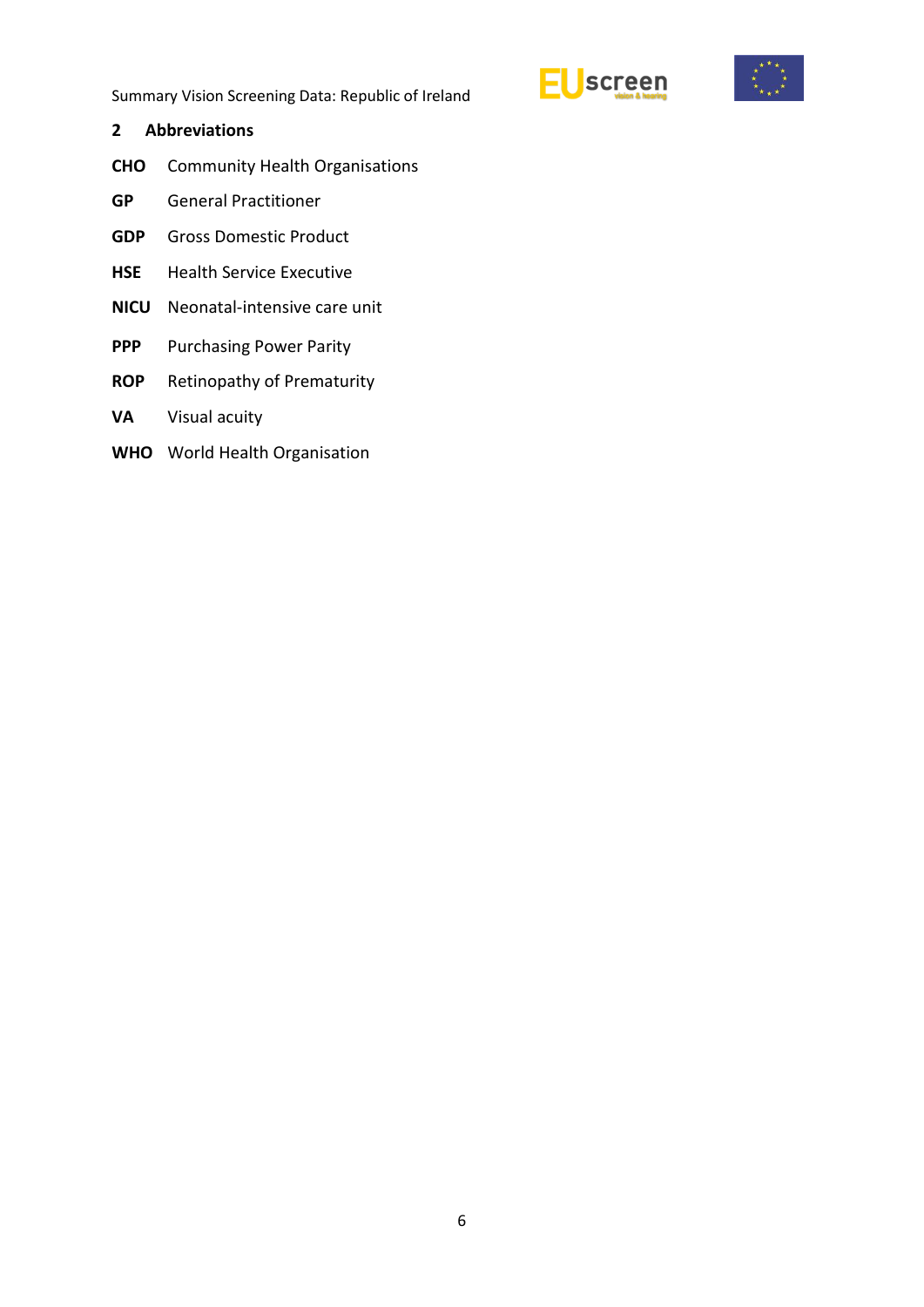



#### <span id="page-5-0"></span>**2 Abbreviations**

- **CHO** Community Health Organisations
- **GP** General Practitioner
- **GDP** Gross Domestic Product
- **HSE** Health Service Executive
- **NICU** Neonatal-intensive care unit
- **PPP** Purchasing Power Parity
- **ROP** Retinopathy of Prematurity
- **VA** Visual acuity
- **WHO** World Health Organisation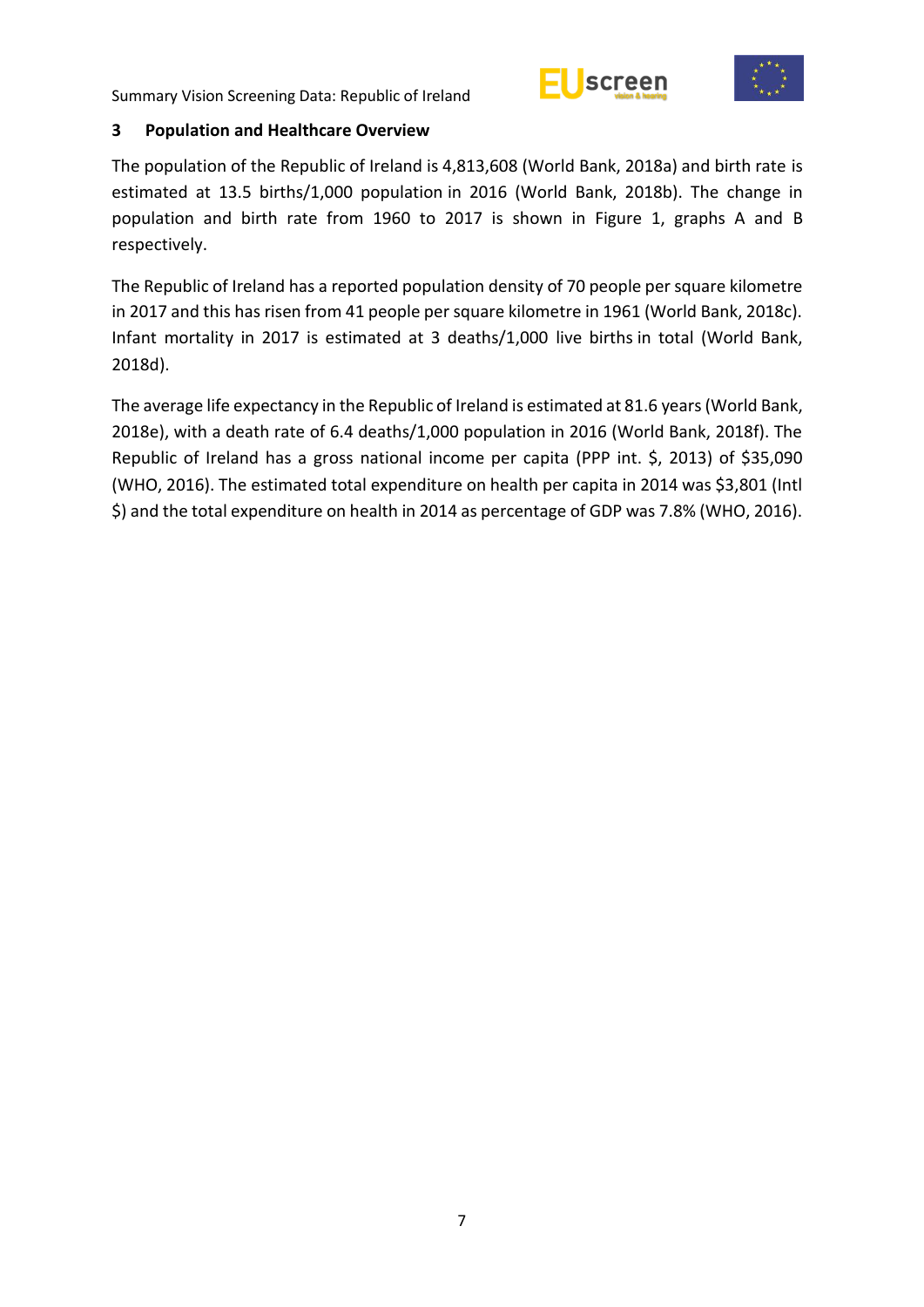



#### <span id="page-6-0"></span>**3 Population and Healthcare Overview**

The population of the Republic of Ireland is 4,813,608 (World Bank, 2018a) and birth rate is estimated at 13.5 births/1,000 population in 2016 (World Bank, 2018b). The change in population and birth rate from 1960 to 2017 is shown in Figure 1, graphs A and B respectively.

The Republic of Ireland has a reported population density of 70 people per square kilometre in 2017 and this has risen from 41 people per square kilometre in 1961 (World Bank, 2018c). Infant mortality in 2017 is estimated at 3 deaths/1,000 live births in total (World Bank, 2018d).

The average life expectancy in the Republic of Ireland is estimated at 81.6 years(World Bank, 2018e), with a death rate of 6.4 deaths/1,000 population in 2016 (World Bank, 2018f). The Republic of Ireland has a gross national income per capita (PPP int. \$, 2013) of \$35,090 (WHO, 2016). The estimated total expenditure on health per capita in 2014 was \$3,801 (Intl \$) and the total expenditure on health in 2014 as percentage of GDP was 7.8% (WHO, 2016).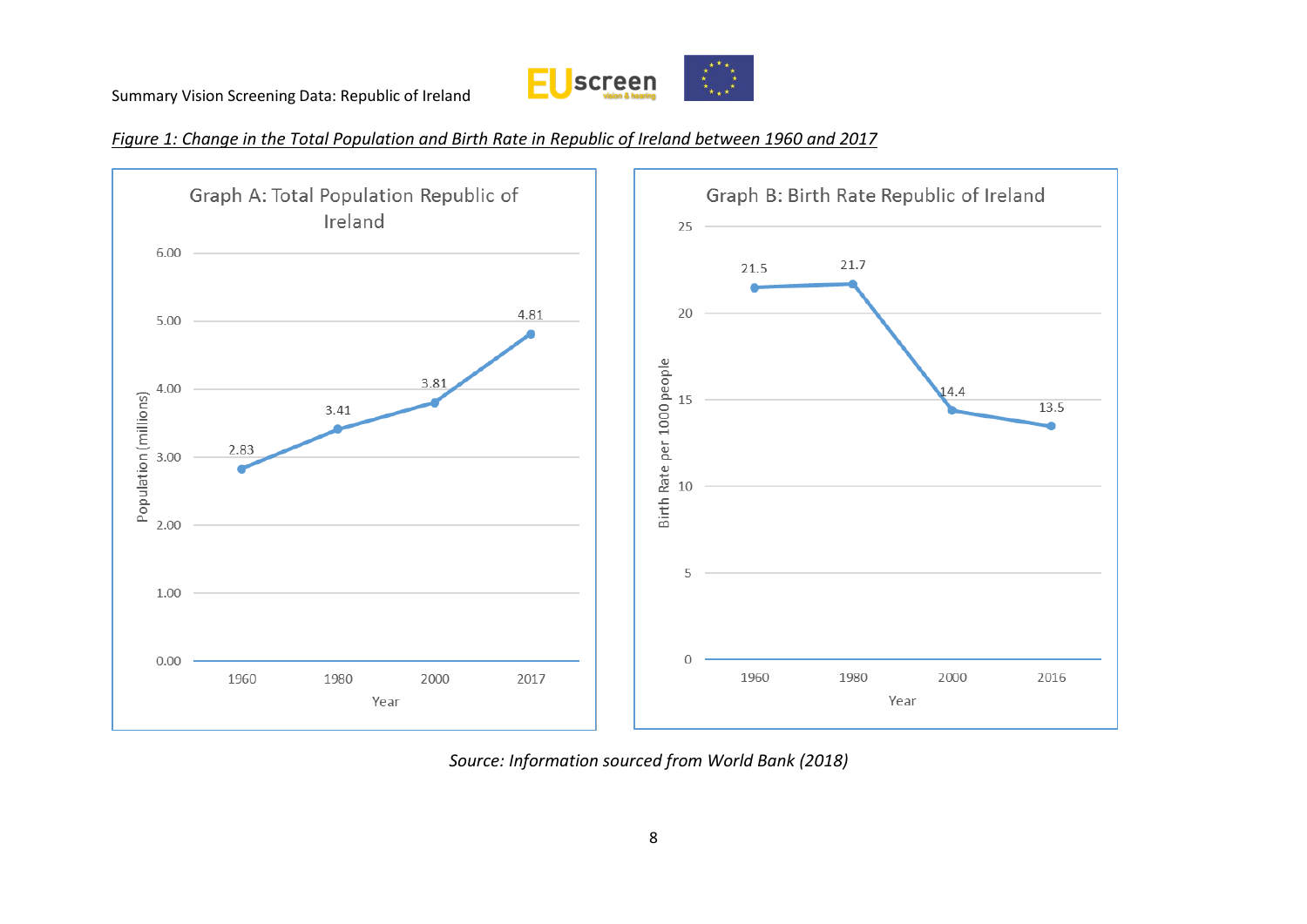

*Figure 1: Change in the Total Population and Birth Rate in Republic of Ireland between 1960 and 2017* 



*Source: Information sourced from World Bank (2018)*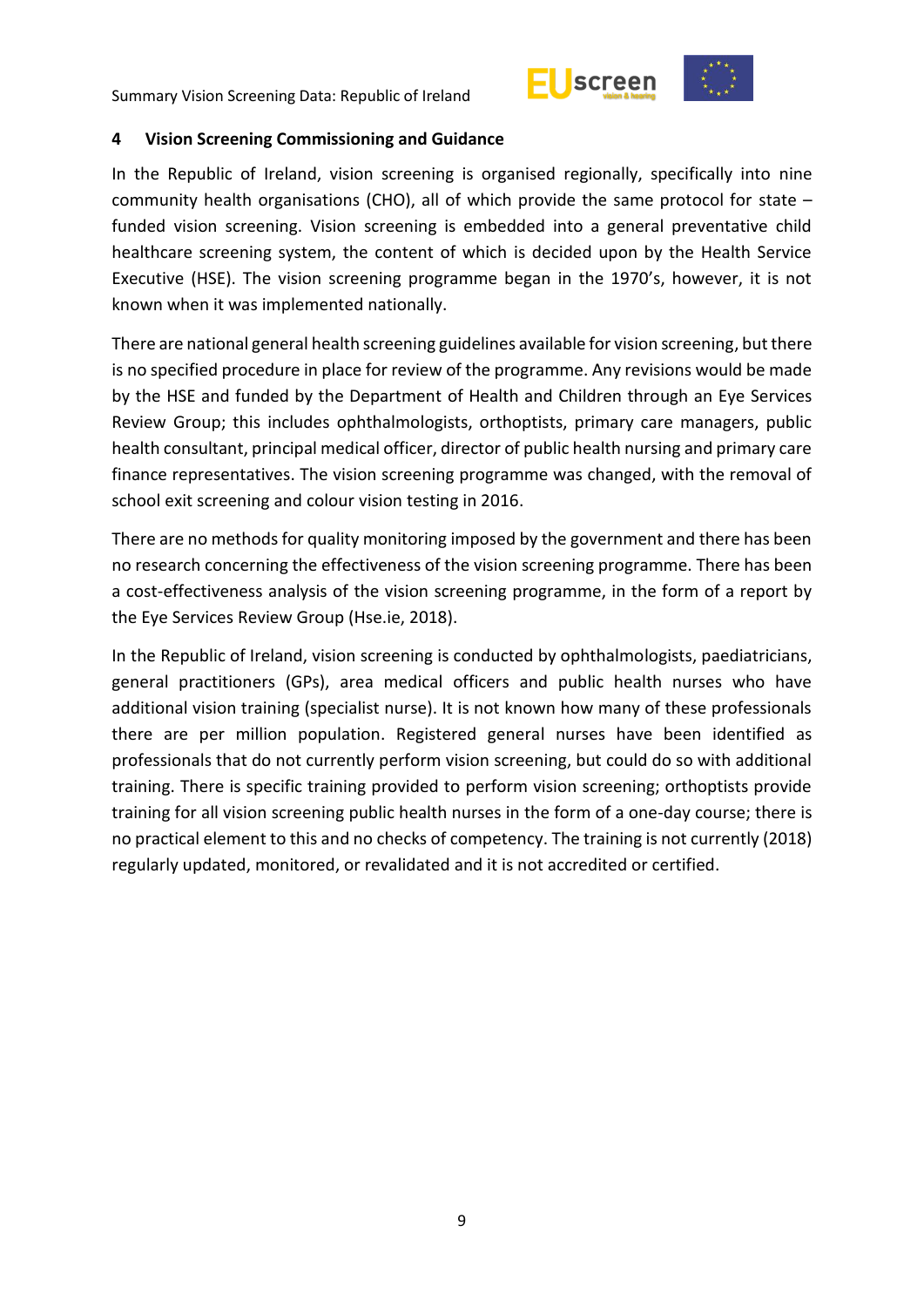



#### <span id="page-8-0"></span>**4 Vision Screening Commissioning and Guidance**

In the Republic of Ireland, vision screening is organised regionally, specifically into nine community health organisations (CHO), all of which provide the same protocol for state – funded vision screening. Vision screening is embedded into a general preventative child healthcare screening system, the content of which is decided upon by the Health Service Executive (HSE). The vision screening programme began in the 1970's, however, it is not known when it was implemented nationally.

There are national general health screening guidelines available for vision screening, but there is no specified procedure in place for review of the programme. Any revisions would be made by the HSE and funded by the Department of Health and Children through an Eye Services Review Group; this includes ophthalmologists, orthoptists, primary care managers, public health consultant, principal medical officer, director of public health nursing and primary care finance representatives. The vision screening programme was changed, with the removal of school exit screening and colour vision testing in 2016.

There are no methods for quality monitoring imposed by the government and there has been no research concerning the effectiveness of the vision screening programme. There has been a cost-effectiveness analysis of the vision screening programme, in the form of a report by the Eye Services Review Group (Hse.ie, 2018).

In the Republic of Ireland, vision screening is conducted by ophthalmologists, paediatricians, general practitioners (GPs), area medical officers and public health nurses who have additional vision training (specialist nurse). It is not known how many of these professionals there are per million population. Registered general nurses have been identified as professionals that do not currently perform vision screening, but could do so with additional training. There is specific training provided to perform vision screening; orthoptists provide training for all vision screening public health nurses in the form of a one-day course; there is no practical element to this and no checks of competency. The training is not currently (2018) regularly updated, monitored, or revalidated and it is not accredited or certified.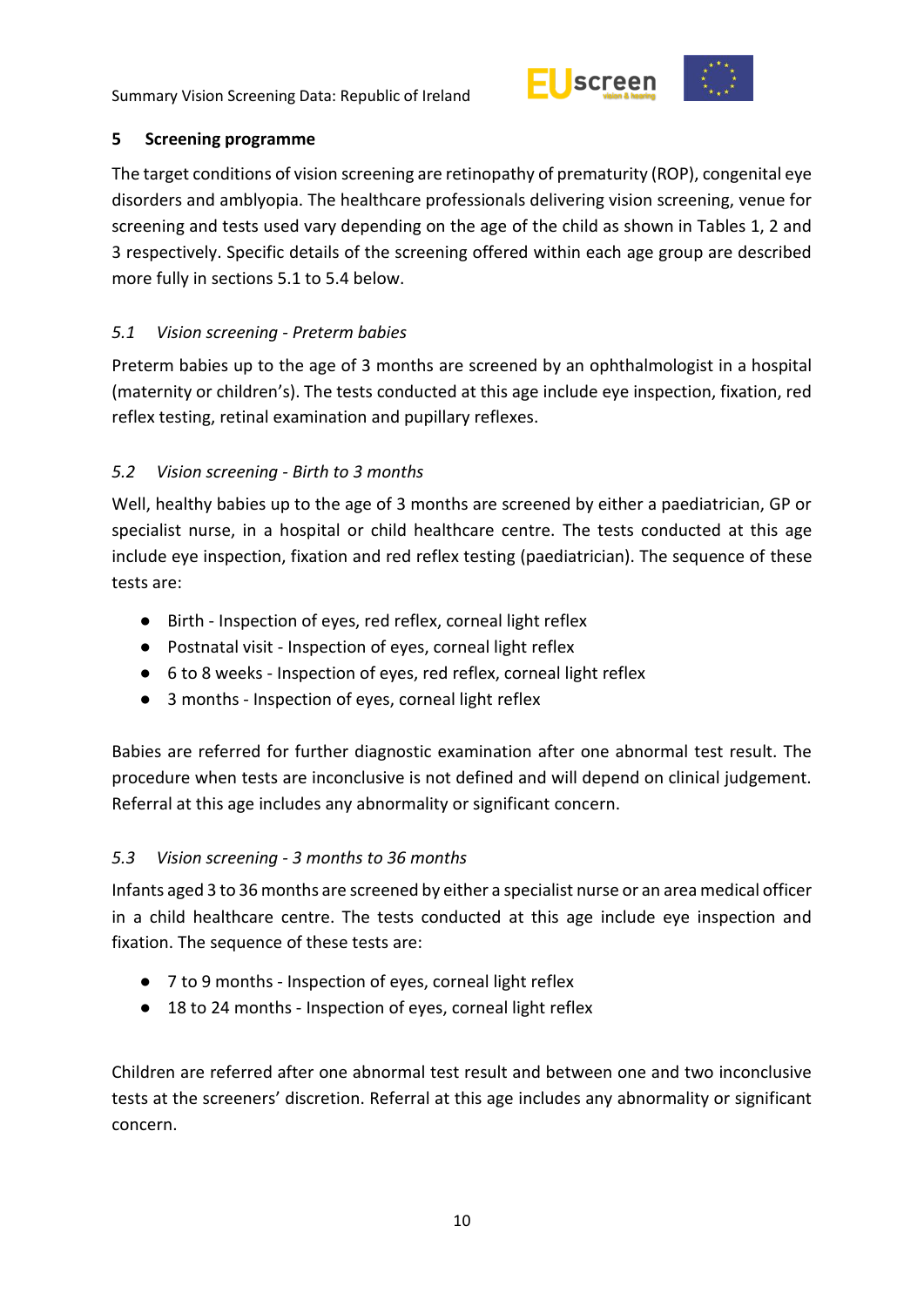



## <span id="page-9-0"></span>**5 Screening programme**

The target conditions of vision screening are retinopathy of prematurity (ROP), congenital eye disorders and amblyopia. The healthcare professionals delivering vision screening, venue for screening and tests used vary depending on the age of the child as shown in Tables 1, 2 and 3 respectively. Specific details of the screening offered within each age group are described more fully in sections 5.1 to 5.4 below.

# <span id="page-9-1"></span>*5.1 Vision screening - Preterm babies*

Preterm babies up to the age of 3 months are screened by an ophthalmologist in a hospital (maternity or children's). The tests conducted at this age include eye inspection, fixation, red reflex testing, retinal examination and pupillary reflexes.

# <span id="page-9-2"></span>*5.2 Vision screening - Birth to 3 months*

Well, healthy babies up to the age of 3 months are screened by either a paediatrician, GP or specialist nurse, in a hospital or child healthcare centre. The tests conducted at this age include eye inspection, fixation and red reflex testing (paediatrician). The sequence of these tests are:

- Birth Inspection of eyes, red reflex, corneal light reflex
- Postnatal visit Inspection of eyes, corneal light reflex
- 6 to 8 weeks Inspection of eyes, red reflex, corneal light reflex
- 3 months Inspection of eyes, corneal light reflex

Babies are referred for further diagnostic examination after one abnormal test result. The procedure when tests are inconclusive is not defined and will depend on clinical judgement. Referral at this age includes any abnormality or significant concern.

# <span id="page-9-3"></span>*5.3 Vision screening - 3 months to 36 months*

Infants aged 3 to 36 months are screened by either a specialist nurse or an area medical officer in a child healthcare centre. The tests conducted at this age include eye inspection and fixation. The sequence of these tests are:

- 7 to 9 months Inspection of eyes, corneal light reflex
- 18 to 24 months Inspection of eyes, corneal light reflex

Children are referred after one abnormal test result and between one and two inconclusive tests at the screeners' discretion. Referral at this age includes any abnormality or significant concern.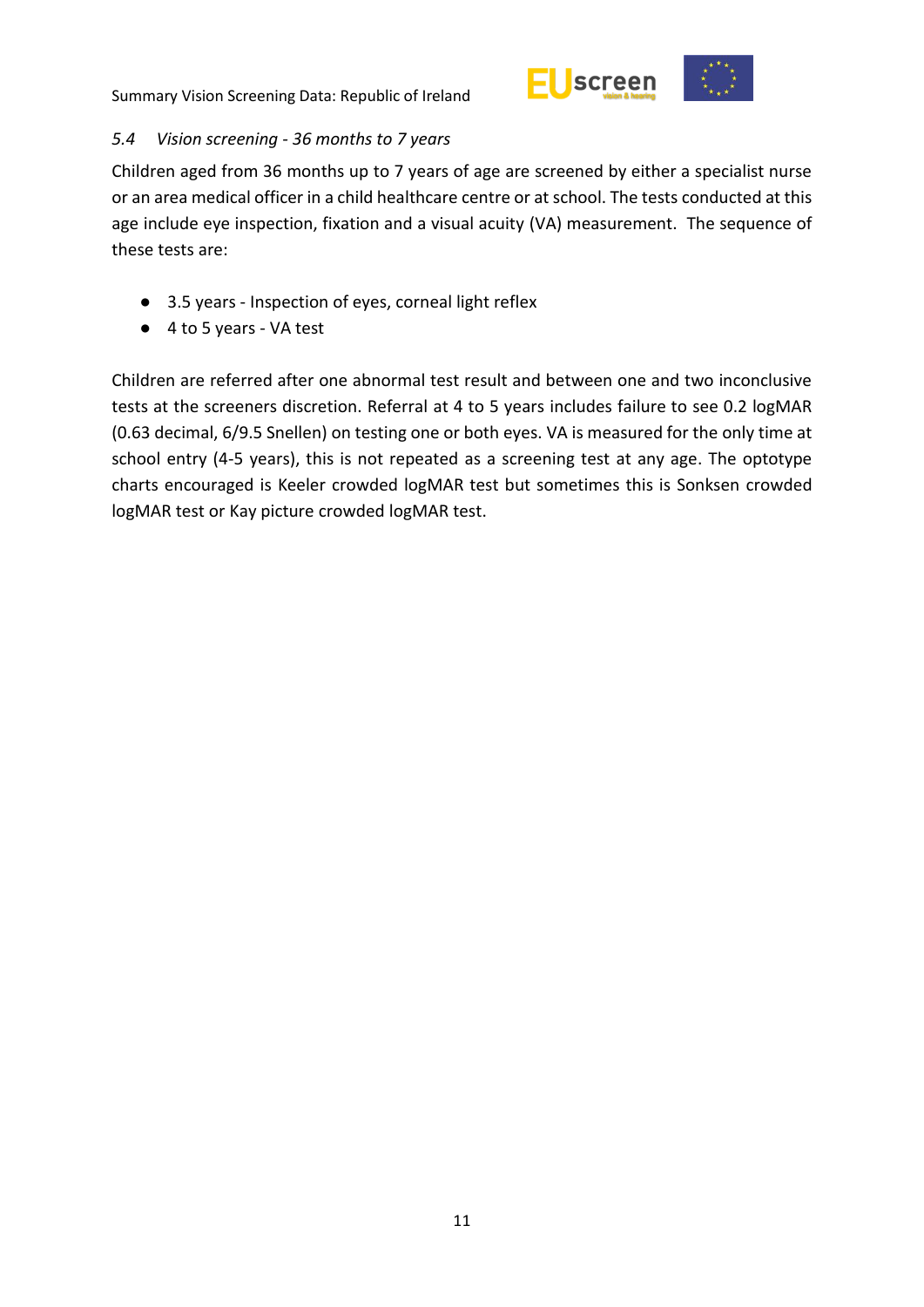

<span id="page-10-0"></span>

Children aged from 36 months up to 7 years of age are screened by either a specialist nurse or an area medical officer in a child healthcare centre or at school. The tests conducted at this age include eye inspection, fixation and a visual acuity (VA) measurement. The sequence of these tests are:

- 3.5 years Inspection of eyes, corneal light reflex
- 4 to 5 years VA test

Children are referred after one abnormal test result and between one and two inconclusive tests at the screeners discretion. Referral at 4 to 5 years includes failure to see 0.2 logMAR (0.63 decimal, 6/9.5 Snellen) on testing one or both eyes. VA is measured for the only time at school entry (4-5 years), this is not repeated as a screening test at any age. The optotype charts encouraged is Keeler crowded logMAR test but sometimes this is Sonksen crowded logMAR test or Kay picture crowded logMAR test.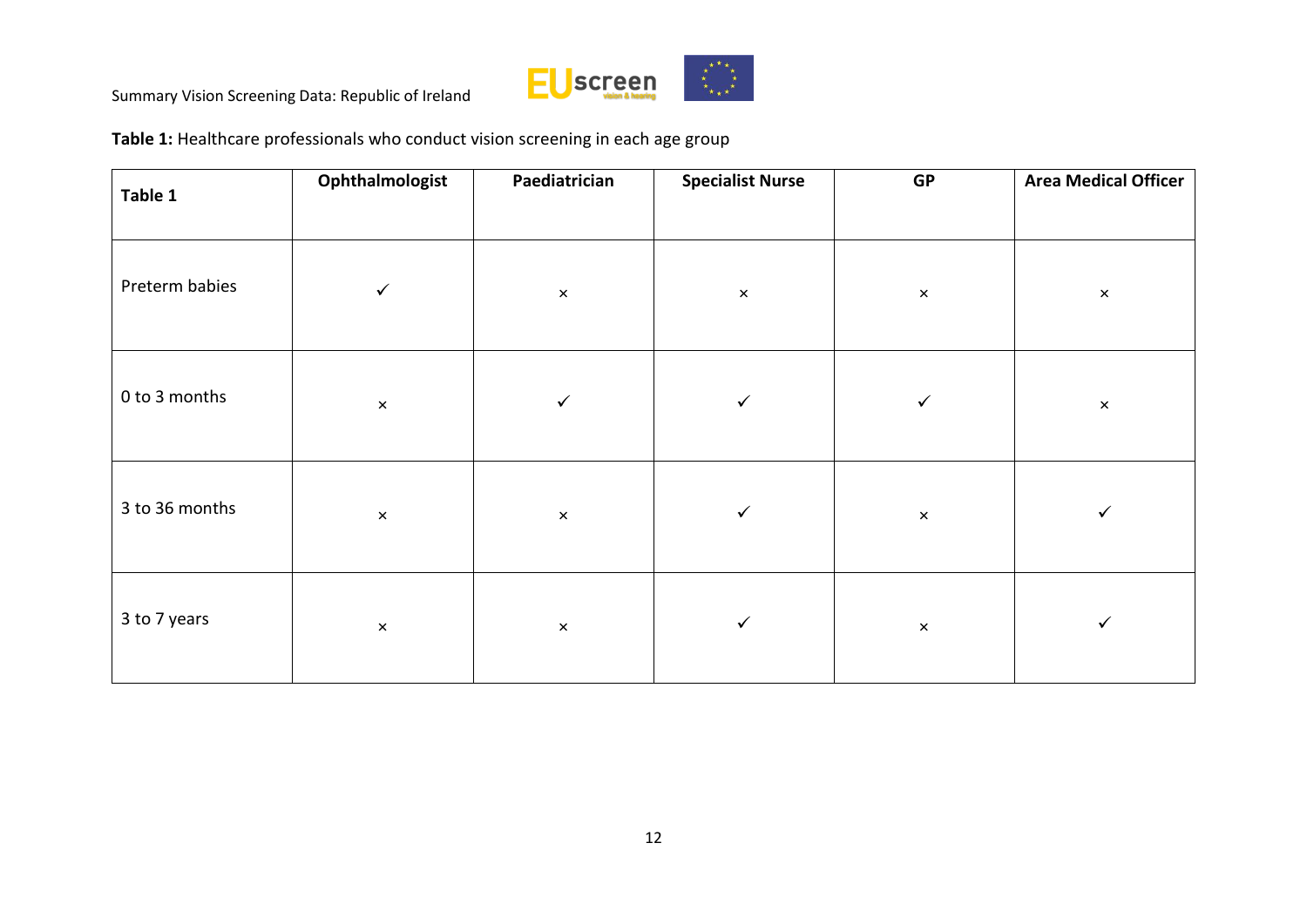

**Table 1:** Healthcare professionals who conduct vision screening in each age group

| Table 1        | Ophthalmologist | Paediatrician  | <b>Specialist Nurse</b> | <b>GP</b>      | <b>Area Medical Officer</b> |
|----------------|-----------------|----------------|-------------------------|----------------|-----------------------------|
| Preterm babies | $\checkmark$    | $\pmb{\times}$ | $\pmb{\times}$          | $\pmb{\times}$ | $\times$                    |
| 0 to 3 months  | $\pmb{\times}$  | $\checkmark$   | $\checkmark$            | $\checkmark$   | $\times$                    |
| 3 to 36 months | $\pmb{\times}$  | $\times$       | $\checkmark$            | $\pmb{\times}$ | $\checkmark$                |
| 3 to 7 years   | $\pmb{\times}$  | $\times$       | $\checkmark$            | $\times$       | $\checkmark$                |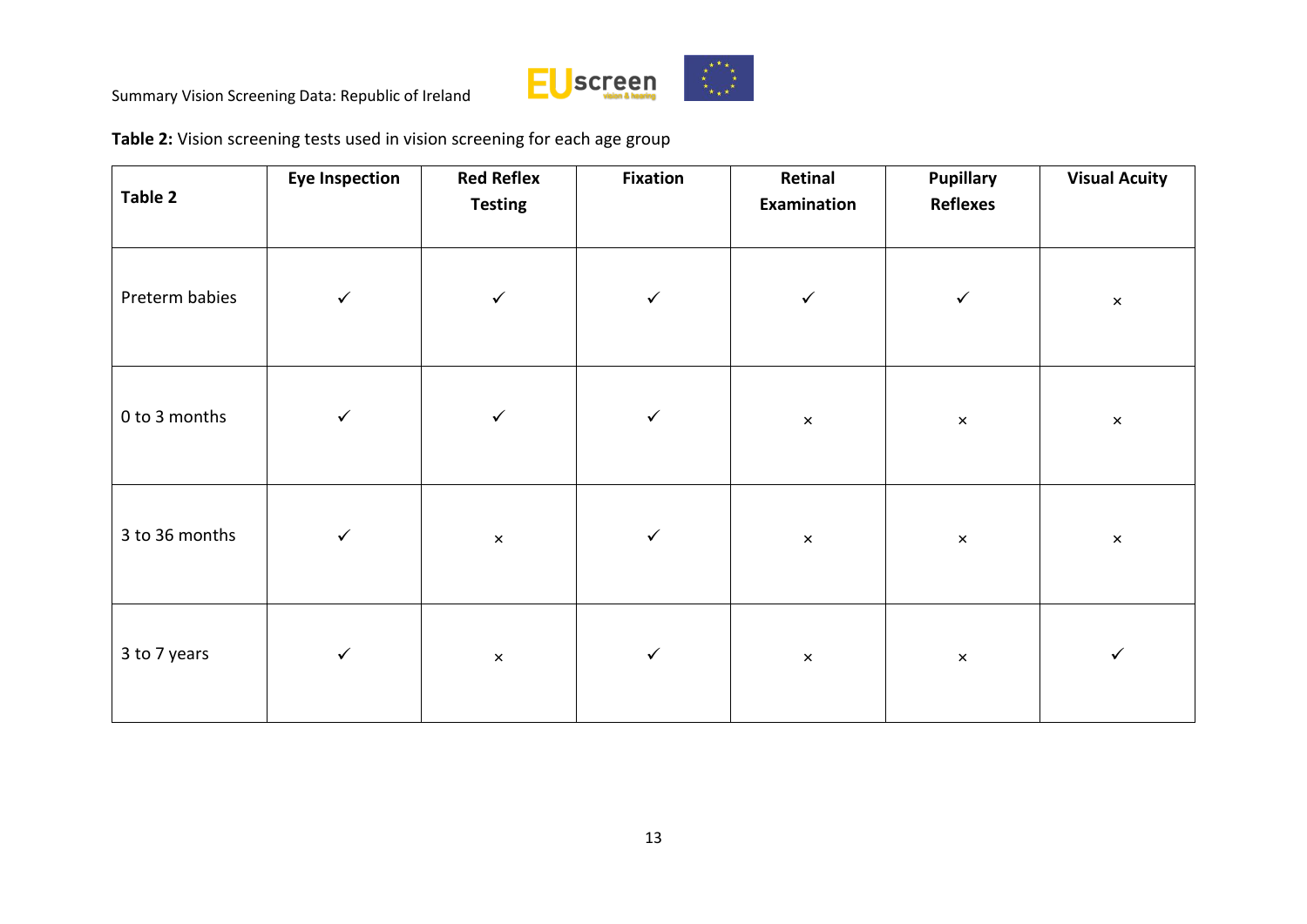

**Table 2:** Vision screening tests used in vision screening for each age group

| Table 2        | <b>Eye Inspection</b> | <b>Red Reflex</b><br><b>Testing</b> | <b>Fixation</b> | Retinal<br>Examination | <b>Pupillary</b><br><b>Reflexes</b> | <b>Visual Acuity</b>      |
|----------------|-----------------------|-------------------------------------|-----------------|------------------------|-------------------------------------|---------------------------|
| Preterm babies | $\checkmark$          | $\checkmark$                        | $\checkmark$    | $\checkmark$           | $\checkmark$                        | $\boldsymbol{\times}$     |
| 0 to 3 months  | $\checkmark$          | $\checkmark$                        | $\checkmark$    | $\pmb{\times}$         | $\pmb{\times}$                      | $\boldsymbol{\mathsf{x}}$ |
| 3 to 36 months | $\checkmark$          | $\pmb{\times}$                      | $\checkmark$    | $\boldsymbol{\times}$  | $\pmb{\times}$                      | $\boldsymbol{\times}$     |
| 3 to 7 years   | $\checkmark$          | $\pmb{\times}$                      | $\checkmark$    | $\pmb{\times}$         | $\times$                            | $\checkmark$              |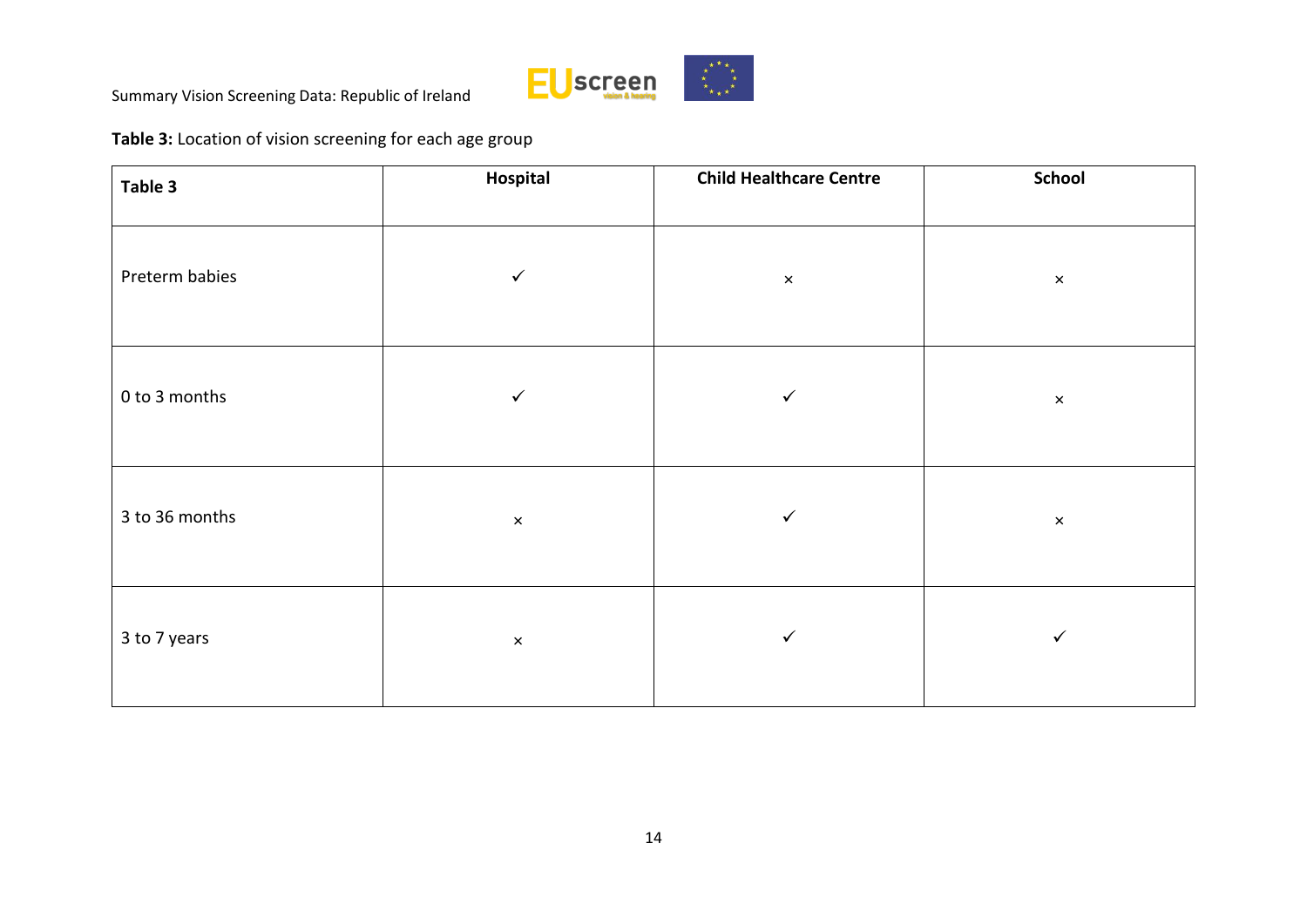

**Table 3:** Location of vision screening for each age group

| Table 3        | Hospital       | <b>Child Healthcare Centre</b> | <b>School</b>  |
|----------------|----------------|--------------------------------|----------------|
| Preterm babies | $\checkmark$   | $\pmb{\times}$                 | $\pmb{\times}$ |
| 0 to 3 months  | $\checkmark$   | $\checkmark$                   | $\pmb{\times}$ |
| 3 to 36 months | $\pmb{\times}$ | ✓                              | $\pmb{\times}$ |
| 3 to 7 years   | $\pmb{\times}$ | ✓                              | ✓              |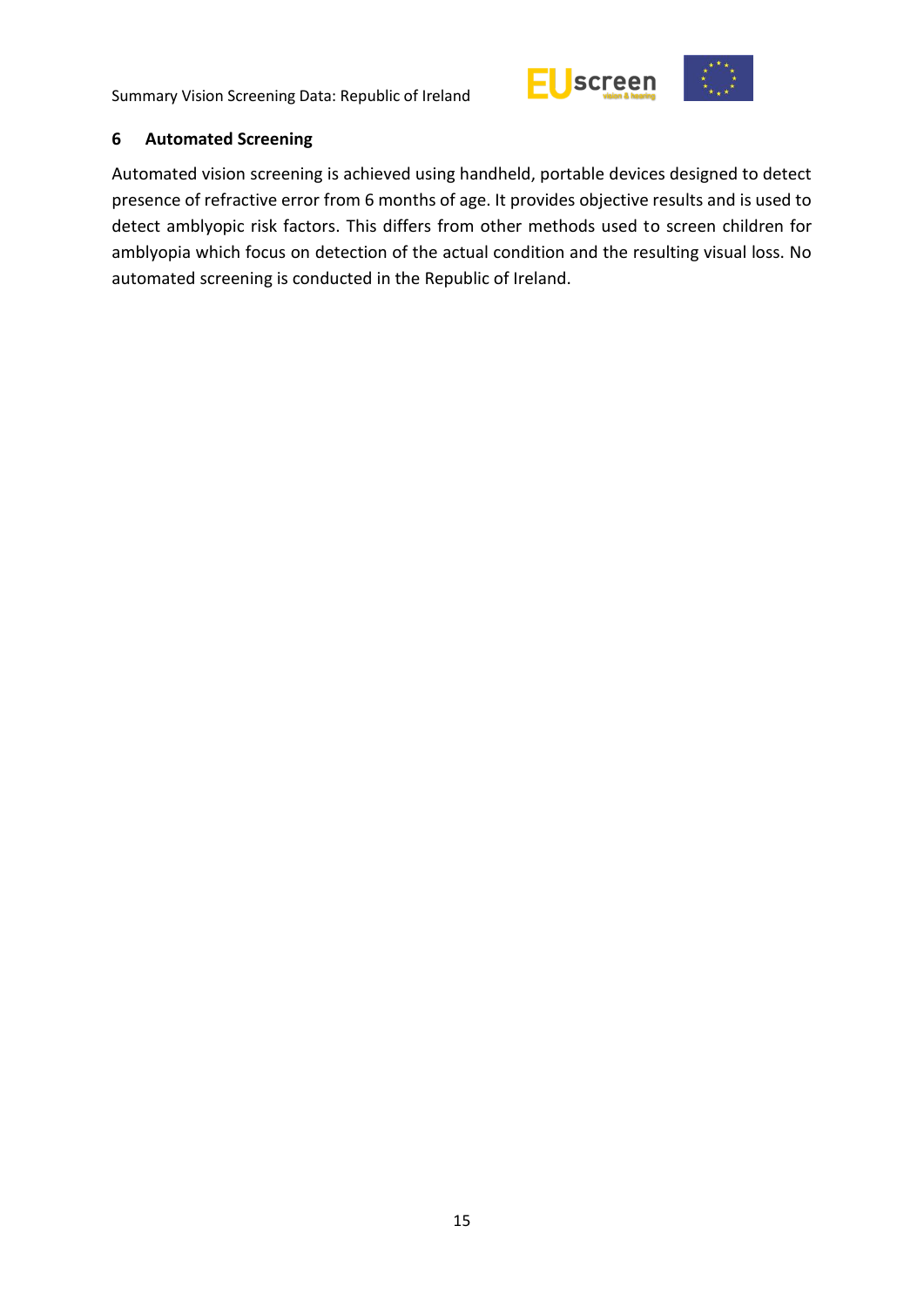



#### <span id="page-14-0"></span>**6 Automated Screening**

Automated vision screening is achieved using handheld, portable devices designed to detect presence of refractive error from 6 months of age. It provides objective results and is used to detect amblyopic risk factors. This differs from other methods used to screen children for amblyopia which focus on detection of the actual condition and the resulting visual loss. No automated screening is conducted in the Republic of Ireland.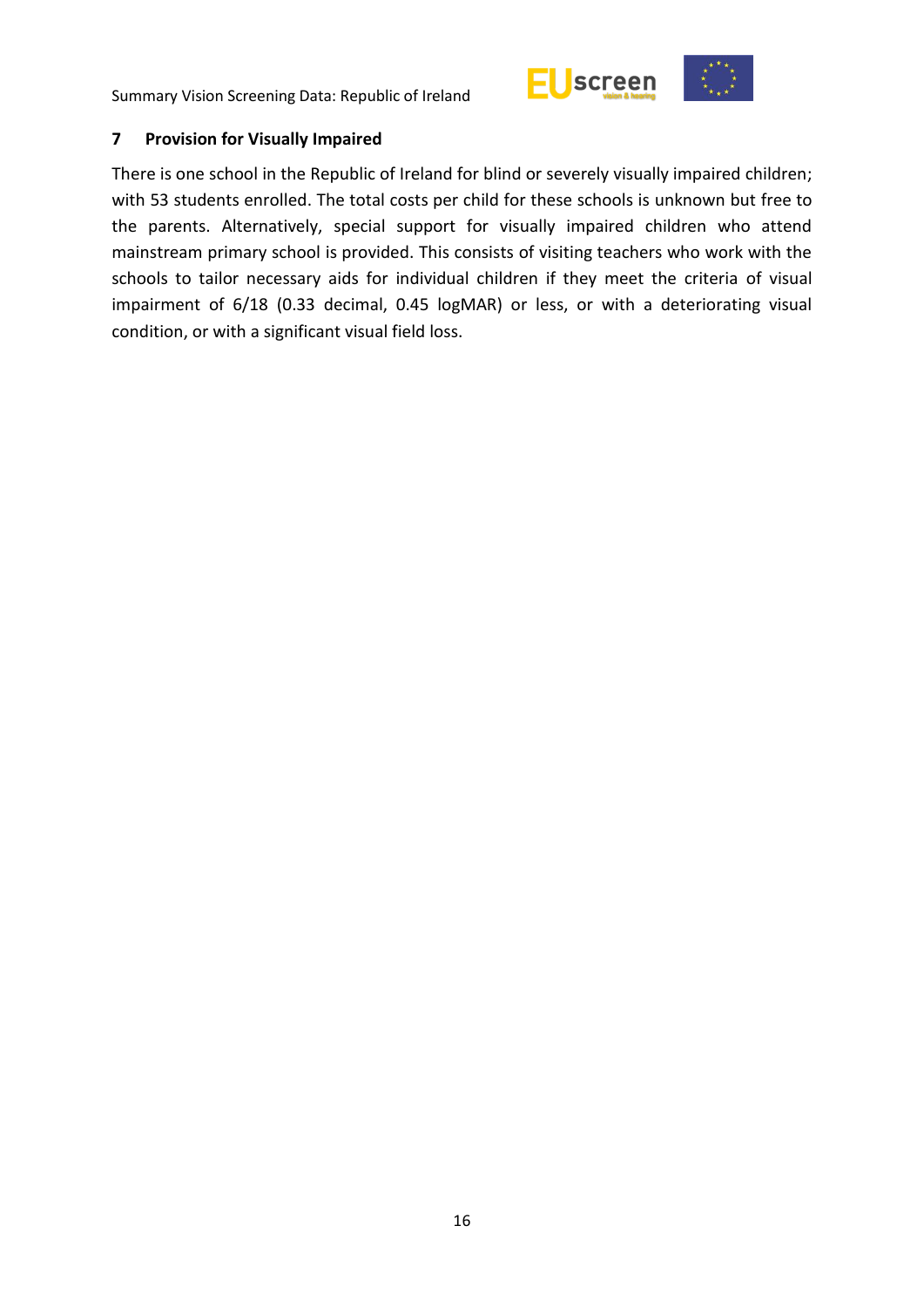



#### <span id="page-15-0"></span>**7 Provision for Visually Impaired**

There is one school in the Republic of Ireland for blind or severely visually impaired children; with 53 students enrolled. The total costs per child for these schools is unknown but free to the parents. Alternatively, special support for visually impaired children who attend mainstream primary school is provided. This consists of visiting teachers who work with the schools to tailor necessary aids for individual children if they meet the criteria of visual impairment of 6/18 (0.33 decimal, 0.45 logMAR) or less, or with a deteriorating visual condition, or with a significant visual field loss.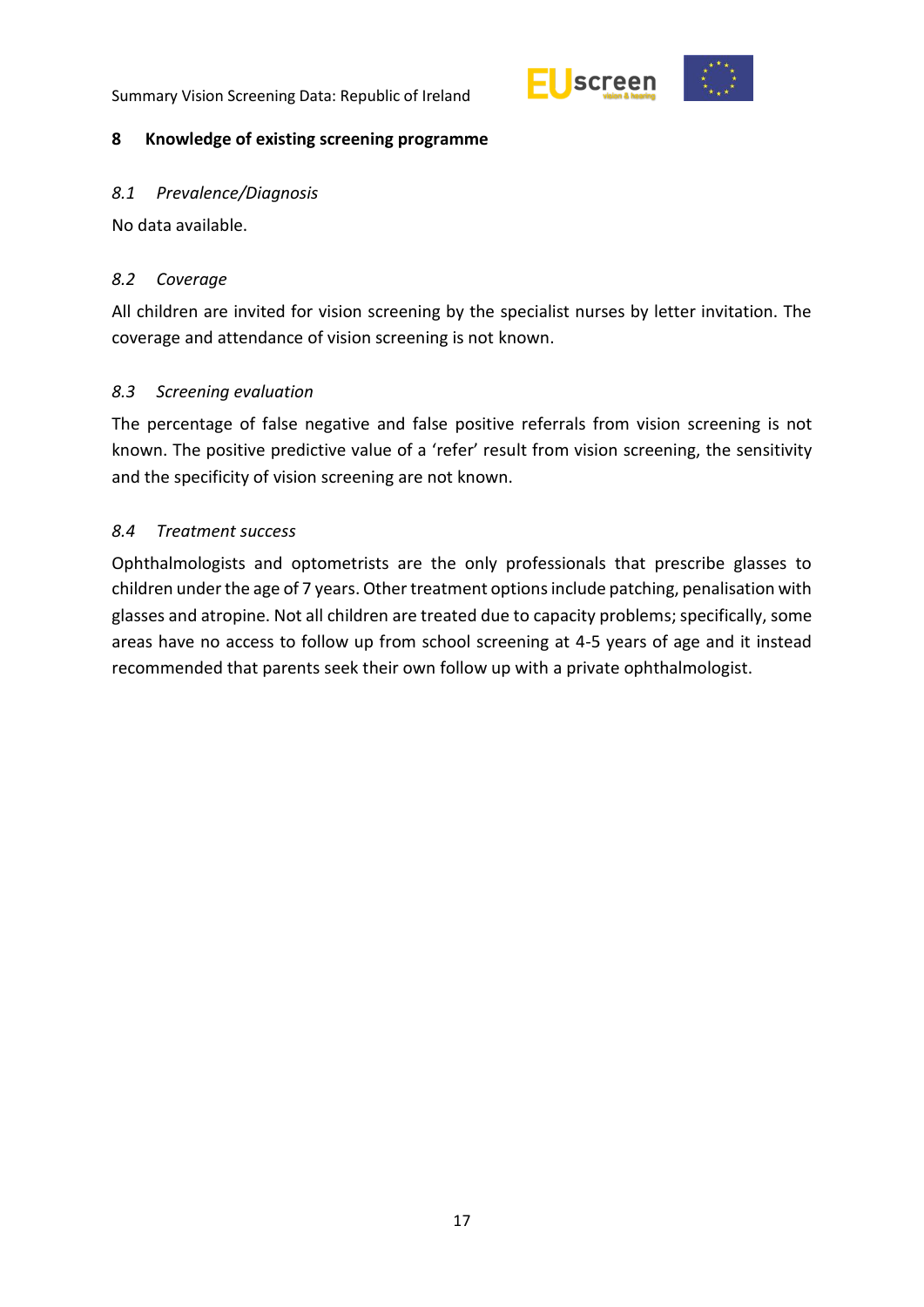



#### <span id="page-16-0"></span>**8 Knowledge of existing screening programme**

#### <span id="page-16-1"></span>*8.1 Prevalence/Diagnosis*

No data available.

#### <span id="page-16-2"></span>*8.2 Coverage*

All children are invited for vision screening by the specialist nurses by letter invitation. The coverage and attendance of vision screening is not known.

## <span id="page-16-3"></span>*8.3 Screening evaluation*

The percentage of false negative and false positive referrals from vision screening is not known. The positive predictive value of a 'refer' result from vision screening, the sensitivity and the specificity of vision screening are not known.

#### <span id="page-16-4"></span>*8.4 Treatment success*

Ophthalmologists and optometrists are the only professionals that prescribe glasses to children under the age of 7 years. Other treatment options include patching, penalisation with glasses and atropine. Not all children are treated due to capacity problems; specifically, some areas have no access to follow up from school screening at 4-5 years of age and it instead recommended that parents seek their own follow up with a private ophthalmologist.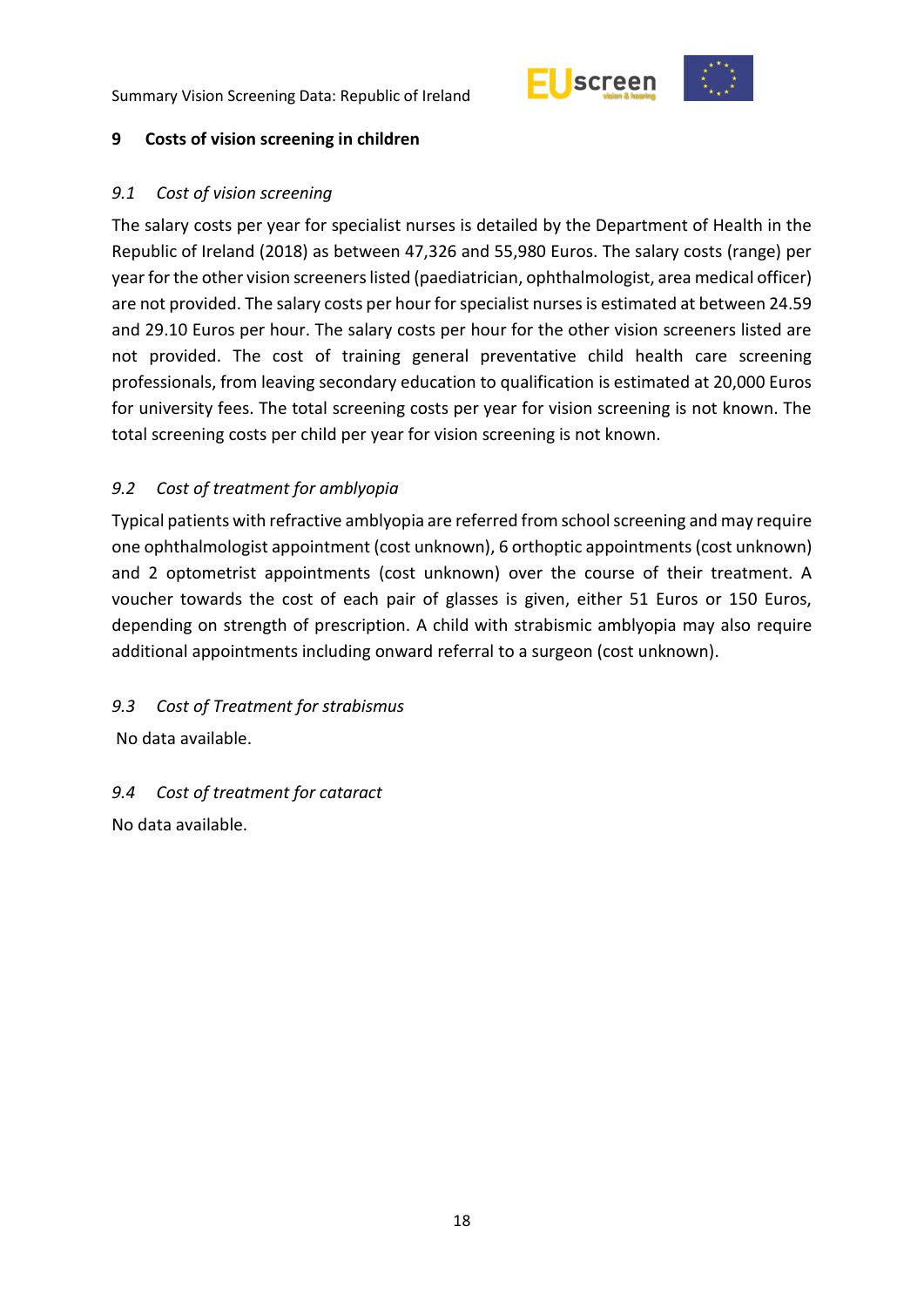



### <span id="page-17-0"></span>**9 Costs of vision screening in children**

### <span id="page-17-1"></span>*9.1 Cost of vision screening*

The salary costs per year for specialist nurses is detailed by the Department of Health in the Republic of Ireland (2018) as between 47,326 and 55,980 Euros. The salary costs (range) per year for the other vision screeners listed (paediatrician, ophthalmologist, area medical officer) are not provided. The salary costs per hour for specialist nurses is estimated at between 24.59 and 29.10 Euros per hour. The salary costs per hour for the other vision screeners listed are not provided. The cost of training general preventative child health care screening professionals, from leaving secondary education to qualification is estimated at 20,000 Euros for university fees. The total screening costs per year for vision screening is not known. The total screening costs per child per year for vision screening is not known.

# <span id="page-17-2"></span>*9.2 Cost of treatment for amblyopia*

Typical patients with refractive amblyopia are referred from school screening and may require one ophthalmologist appointment (cost unknown), 6 orthoptic appointments (cost unknown) and 2 optometrist appointments (cost unknown) over the course of their treatment. A voucher towards the cost of each pair of glasses is given, either 51 Euros or 150 Euros, depending on strength of prescription. A child with strabismic amblyopia may also require additional appointments including onward referral to a surgeon (cost unknown).

# <span id="page-17-3"></span>*9.3 Cost of Treatment for strabismus*

No data available.

# <span id="page-17-4"></span>*9.4 Cost of treatment for cataract*

No data available.